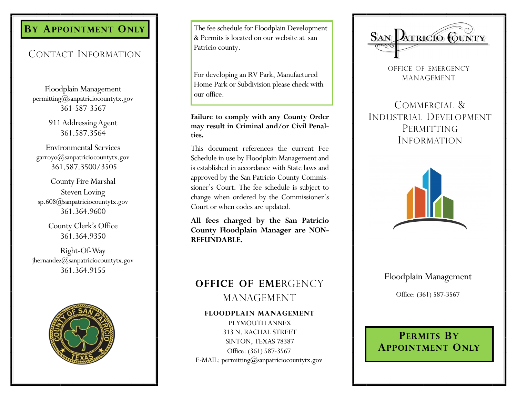# **BY APPOINTMENT ONLY**

## CONTACT INFORMATION

Floodplain Management permitting@sanpatriciocountytx.gov 361-587-3567

> 911 Addressing Agent 361.587.3564

Environmental Services garroyo@sanpatriciocountytx.gov 361.587.3500/3505

County Fire Marshal Steven Loving sp.608@sanpatriciocountytx.gov 361.364.9600

> County Clerk's Office 361.364.9350

Right-Of-Way jhernandez@sanpatriciocountytx.gov 361.364.9155



The fee schedule for Floodplain Development & Permits is located on our website at san Patricio county.

For developing an RV Park, Manufactured Home Park or Subdivision please check with our office.

**Failure to comply with any County Order may result in Criminal and/or Civil Penalties.**

This document references the current Fee Schedule in use by Floodplain Management and is established in accordance with State laws and approved by the San Patricio County Commissioner's Court. The fee schedule is subject to change when ordered by the Commissioner's Court or when codes are updated.

**All fees charged by the San Patricio County Floodplain Manager are NON-REFUNDABLE.** 

## **OFFICE OF EME**RGENCY MANAGEMENT

**FLOODPLAIN MANAGEMENT**

PLYMOUTH ANNEX 313 N. RACHAL STREET SINTON, TEXAS 78387 Office: (361) 587-3567 E-MAIL: permitting@sanpatriciocountytx.gov



OFFICE OF EMERGENCY MANAGEMENT

COMMERCIAL & INDUSTRIAL DEVELOPMENT PERMITTING INFORMATION



## Floodplain Management

Office: (361) 587-3567

# **PERMITS BY APPOINTMENT ONLY**